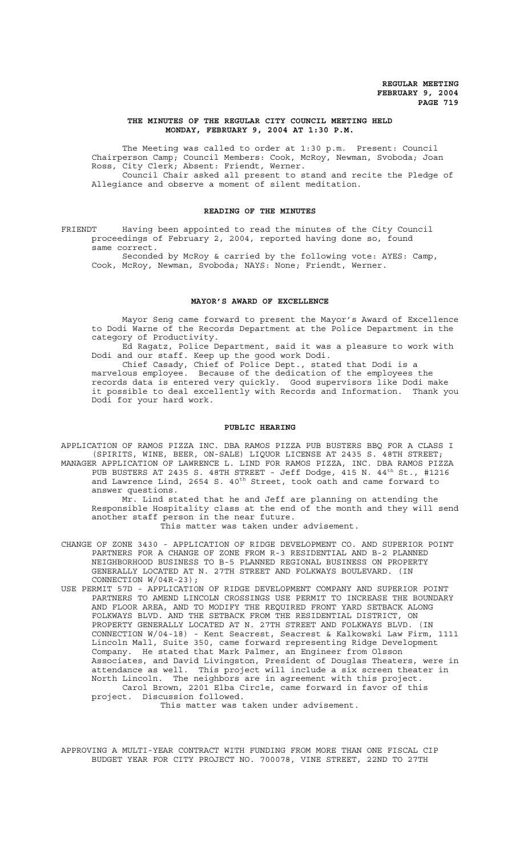# **THE MINUTES OF THE REGULAR CITY COUNCIL MEETING HELD MONDAY, FEBRUARY 9, 2004 AT 1:30 P.M.**

The Meeting was called to order at 1:30 p.m. Present: Council Chairperson Camp; Council Members: Cook, McRoy, Newman, Svoboda; Joan Ross, City Clerk; Absent: Friendt, Werner. Council Chair asked all present to stand and recite the Pledge of

Allegiance and observe a moment of silent meditation.

# **READING OF THE MINUTES**

FRIENDT Having been appointed to read the minutes of the City Council proceedings of February 2, 2004, reported having done so, found same correct.

Seconded by McRoy & carried by the following vote: AYES: Camp, Cook, McRoy, Newman, Svoboda; NAYS: None; Friendt, Werner.

# **MAYOR'S AWARD OF EXCELLENCE**

Mayor Seng came forward to present the Mayor's Award of Excellence to Dodi Warne of the Records Department at the Police Department in the category of Productivity.

Ed Ragatz, Police Department, said it was a pleasure to work with Dodi and our staff. Keep up the good work Dodi.

Chief Casady, Chief of Police Dept., stated that Dodi is a marvelous employee. Because of the dedication of the employees the records data is entered very quickly. Good supervisors like Dodi make it possible to deal excellently with Records and Information. Thank you Dodi for your hard work.

#### **PUBLIC HEARING**

APPLICATION OF RAMOS PIZZA INC. DBA RAMOS PIZZA PUB BUSTERS BBQ FOR A CLASS I (SPIRITS, WINE, BEER, ON-SALE) LIQUOR LICENSE AT 2435 S. 48TH STREET; MANAGER APPLICATION OF LAWRENCE L. LIND FOR RAMOS PIZZA, INC. DBA RAMOS PIZZA PUB BUSTERS AT 2435 S. 48TH STREET - Jeff Dodge, 415 N.  $44^{\text{th}}$  St., #1216 and Lawrence Lind, 2654 S. 40<sup>th</sup> Street, took oath and came forward to answer questions.

Mr. Lind stated that he and Jeff are planning on attending the Responsible Hospitality class at the end of the month and they will send another staff person in the near future.

This matter was taken under advisement.

CHANGE OF ZONE 3430 - APPLICATION OF RIDGE DEVELOPMENT CO. AND SUPERIOR POINT PARTNERS FOR A CHANGE OF ZONE FROM R-3 RESIDENTIAL AND B-2 PLANNED NEIGHBORHOOD BUSINESS TO B-5 PLANNED REGIONAL BUSINESS ON PROPERTY GENERALLY LOCATED AT N. 27TH STREET AND FOLKWAYS BOULEVARD. (IN CONNECTION W/04R-23);

USE PERMIT 57D - APPLICATION OF RIDGE DEVELOPMENT COMPANY AND SUPERIOR POINT PARTNERS TO AMEND LINCOLN CROSSINGS USE PERMIT TO INCREASE THE BOUNDARY AND FLOOR AREA, AND TO MODIFY THE REQUIRED FRONT YARD SETBACK ALONG FOLKWAYS BLVD. AND THE SETBACK FROM THE RESIDENTIAL DISTRICT, ON PROPERTY GENERALLY LOCATED AT N. 27TH STREET AND FOLKWAYS BLVD. (IN CONNECTION W/04-18) - Kent Seacrest, Seacrest & Kalkowski Law Firm, 1111 Lincoln Mall, Suite 350, came forward representing Ridge Development Company. He stated that Mark Palmer, an Engineer from Olsson Associates, and David Livingston, President of Douglas Theaters, were in attendance as well. This project will include a six screen theater in North Lincoln. The neighbors are in agreement with this project. Carol Brown, 2201 Elba Circle, came forward in favor of this project. Discussion followed.

This matter was taken under advisement.

APPROVING A MULTI-YEAR CONTRACT WITH FUNDING FROM MORE THAN ONE FISCAL CIP BUDGET YEAR FOR CITY PROJECT NO. 700078, VINE STREET, 22ND TO 27TH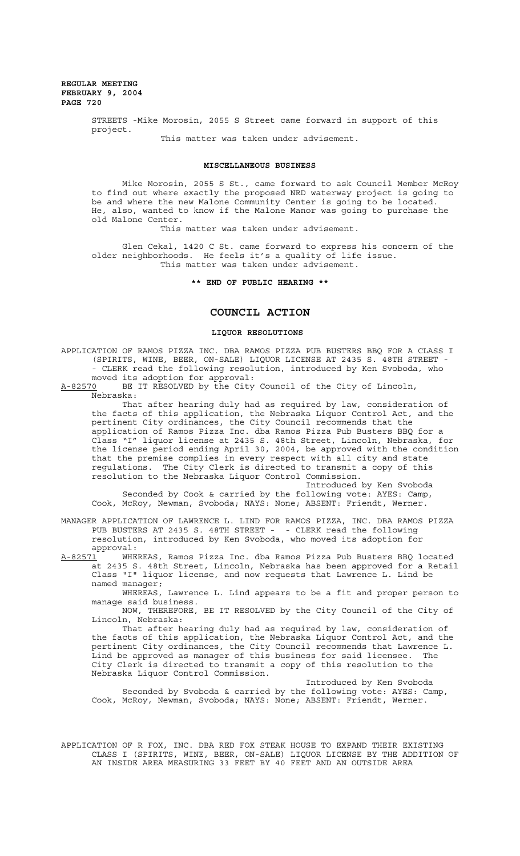> STREETS -Mike Morosin, 2055 S Street came forward in support of this project.

> > This matter was taken under advisement.

## **MISCELLANEOUS BUSINESS**

Mike Morosin, 2055 S St., came forward to ask Council Member McRoy to find out where exactly the proposed NRD waterway project is going to be and where the new Malone Community Center is going to be located. He, also, wanted to know if the Malone Manor was going to purchase the old Malone Center.

This matter was taken under advisement.

Glen Cekal, 1420 C St. came forward to express his concern of the older neighborhoods. He feels it's a quality of life issue. This matter was taken under advisement.

# **\*\* END OF PUBLIC HEARING \*\***

# **COUNCIL ACTION**

## **LIQUOR RESOLUTIONS**

APPLICATION OF RAMOS PIZZA INC. DBA RAMOS PIZZA PUB BUSTERS BBQ FOR A CLASS I (SPIRITS, WINE, BEER, ON-SALE) LIQUOR LICENSE AT 2435 S. 48TH STREET - - CLERK read the following resolution, introduced by Ken Svoboda, who moved its adoption for approval:

A-82570 BE IT RESOLVED by the City Council of the City of Lincoln, Nebraska:

That after hearing duly had as required by law, consideration of the facts of this application, the Nebraska Liquor Control Act, and the pertinent City ordinances, the City Council recommends that the application of Ramos Pizza Inc. dba Ramos Pizza Pub Busters BBQ for a Class "I" liquor license at 2435 S. 48th Street, Lincoln, Nebraska, for the license period ending April 30, 2004, be approved with the condition that the premise complies in every respect with all city and state regulations. The City Clerk is directed to transmit a copy of this resolution to the Nebraska Liquor Control Commission.

Introduced by Ken Svoboda Seconded by Cook & carried by the following vote: AYES: Camp, Cook, McRoy, Newman, Svoboda; NAYS: None; ABSENT: Friendt, Werner.

MANAGER APPLICATION OF LAWRENCE L. LIND FOR RAMOS PIZZA, INC. DBA RAMOS PIZZA PUB BUSTERS AT 2435 S. 48TH STREET - - CLERK read the following resolution, introduced by Ken Svoboda, who moved its adoption for approval:<br><u>A-82571</u> WHE

WHEREAS, Ramos Pizza Inc. dba Ramos Pizza Pub Busters BBQ located at 2435 S. 48th Street, Lincoln, Nebraska has been approved for a Retail Class "I" liquor license, and now requests that Lawrence L. Lind be named manager;

WHEREAS, Lawrence L. Lind appears to be a fit and proper person to manage said business.

NOW, THEREFORE, BE IT RESOLVED by the City Council of the City of Lincoln, Nebraska:

That after hearing duly had as required by law, consideration of the facts of this application, the Nebraska Liquor Control Act, and the pertinent City ordinances, the City Council recommends that Lawrence L. Lind be approved as manager of this business for said licensee. The City Clerk is directed to transmit a copy of this resolution to the Nebraska Liquor Control Commission.

Introduced by Ken Svoboda Seconded by Svoboda & carried by the following vote: AYES: Camp, Cook, McRoy, Newman, Svoboda; NAYS: None; ABSENT: Friendt, Werner.

APPLICATION OF R FOX, INC. DBA RED FOX STEAK HOUSE TO EXPAND THEIR EXISTING CLASS I (SPIRITS, WINE, BEER, ON-SALE) LIQUOR LICENSE BY THE ADDITION OF AN INSIDE AREA MEASURING 33 FEET BY 40 FEET AND AN OUTSIDE AREA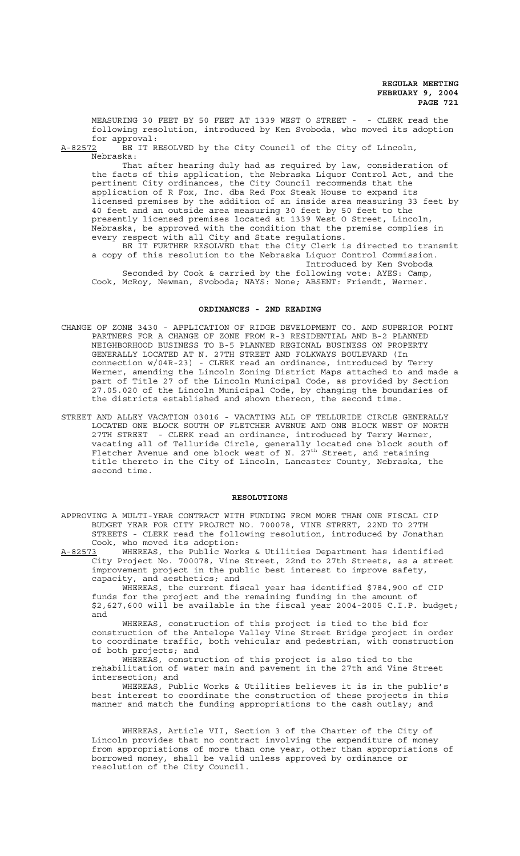MEASURING 30 FEET BY 50 FEET AT 1339 WEST O STREET - - CLERK read the following resolution, introduced by Ken Svoboda, who moved its adoption for approval:

A-82572 BE IT RESOLVED by the City Council of the City of Lincoln, Nebraska:

That after hearing duly had as required by law, consideration of the facts of this application, the Nebraska Liquor Control Act, and the pertinent City ordinances, the City Council recommends that the application of R Fox, Inc. dba Red Fox Steak House to expand its licensed premises by the addition of an inside area measuring 33 feet by 40 feet and an outside area measuring 30 feet by 50 feet to the presently licensed premises located at 1339 West O Street, Lincoln, Nebraska, be approved with the condition that the premise complies in every respect with all City and State regulations. BE IT FURTHER RESOLVED that the City Clerk is directed to transmit

a copy of this resolution to the Nebraska Liquor Control Commission. Introduced by Ken Svoboda

Seconded by Cook & carried by the following vote: AYES: Camp, Cook, McRoy, Newman, Svoboda; NAYS: None; ABSENT: Friendt, Werner.

## **ORDINANCES - 2ND READING**

- CHANGE OF ZONE 3430 APPLICATION OF RIDGE DEVELOPMENT CO. AND SUPERIOR POINT PARTNERS FOR A CHANGE OF ZONE FROM R-3 RESIDENTIAL AND B-2 PLANNED NEIGHBORHOOD BUSINESS TO B-5 PLANNED REGIONAL BUSINESS ON PROPERTY GENERALLY LOCATED AT N. 27TH STREET AND FOLKWAYS BOULEVARD (In connection w/04R-23) - CLERK read an ordinance, introduced by Terry Werner, amending the Lincoln Zoning District Maps attached to and made a part of Title 27 of the Lincoln Municipal Code, as provided by Section 27.05.020 of the Lincoln Municipal Code, by changing the boundaries of the districts established and shown thereon, the second time.
- STREET AND ALLEY VACATION 03016 VACATING ALL OF TELLURIDE CIRCLE GENERALLY LOCATED ONE BLOCK SOUTH OF FLETCHER AVENUE AND ONE BLOCK WEST OF NORTH 27TH STREET - CLERK read an ordinance, introduced by Terry Werner, vacating all of Telluride Circle, generally located one block south of Fletcher Avenue and one block west of N. 27<sup>th</sup> Street, and retaining title thereto in the City of Lincoln, Lancaster County, Nebraska, the second time.

#### **RESOLUTIONS**

APPROVING A MULTI-YEAR CONTRACT WITH FUNDING FROM MORE THAN ONE FISCAL CIP BUDGET YEAR FOR CITY PROJECT NO. 700078, VINE STREET, 22ND TO 27TH STREETS - CLERK read the following resolution, introduced by Jonathan Cook, who moved its adoption:

A-82573 WHEREAS, the Public Works & Utilities Department has identified City Project No. 700078, Vine Street, 22nd to 27th Streets, as a street improvement project in the public best interest to improve safety, capacity, and aesthetics; and

WHEREAS, the current fiscal year has identified \$784,900 of CIP funds for the project and the remaining funding in the amount of \$2,627,600 will be available in the fiscal year 2004-2005 C.I.P. budget; and

WHEREAS, construction of this project is tied to the bid for construction of the Antelope Valley Vine Street Bridge project in order to coordinate traffic, both vehicular and pedestrian, with construction of both projects; and

WHEREAS, construction of this project is also tied to the rehabilitation of water main and pavement in the 27th and Vine Street intersection; and

WHEREAS, Public Works & Utilities believes it is in the public's best interest to coordinate the construction of these projects in this manner and match the funding appropriations to the cash outlay; and

WHEREAS, Article VII, Section 3 of the Charter of the City of Lincoln provides that no contract involving the expenditure of money from appropriations of more than one year, other than appropriations of borrowed money, shall be valid unless approved by ordinance or resolution of the City Council.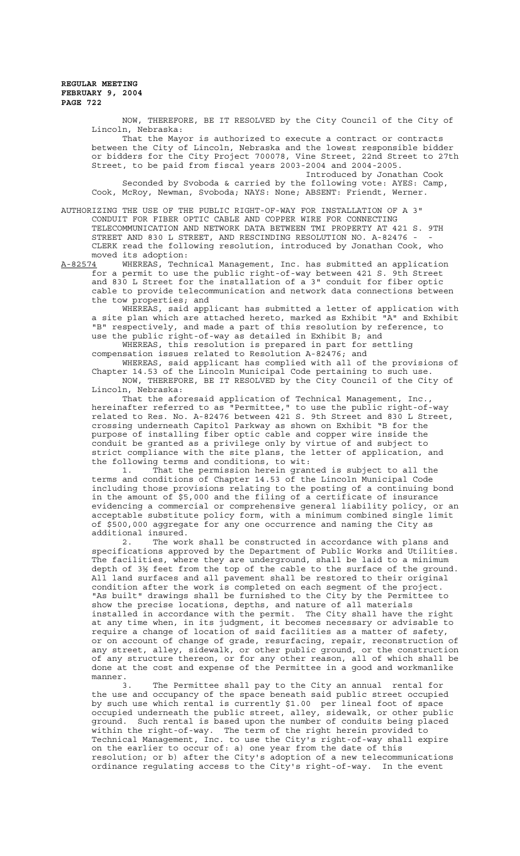> NOW, THEREFORE, BE IT RESOLVED by the City Council of the City of Lincoln, Nebraska:

That the Mayor is authorized to execute a contract or contracts between the City of Lincoln, Nebraska and the lowest responsible bidder or bidders for the City Project 700078, Vine Street, 22nd Street to 27th Street, to be paid from fiscal years 2003-2004 and 2004-2005.

Introduced by Jonathan Cook Seconded by Svoboda & carried by the following vote: AYES: Camp, Cook, McRoy, Newman, Svoboda; NAYS: None; ABSENT: Friendt, Werner.

AUTHORIZING THE USE OF THE PUBLIC RIGHT-OF-WAY FOR INSTALLATION OF A 3" CONDUIT FOR FIBER OPTIC CABLE AND COPPER WIRE FOR CONNECTING TELECOMMUNICATION AND NETWORK DATA BETWEEN TMI PROPERTY AT 421 S. 9TH STREET AND 830 L STREET, AND RESCINDING RESOLUTION NO. A-82476 -CLERK read the following resolution, introduced by Jonathan Cook, who moved its adoption:

A-82574 WHEREAS, Technical Management, Inc. has submitted an application for a permit to use the public right-of-way between 421 S. 9th Street and 830 L Street for the installation of a 3" conduit for fiber optic cable to provide telecommunication and network data connections between the tow properties; and

WHEREAS, said applicant has submitted a letter of application with a site plan which are attached hereto, marked as Exhibit "A" and Exhibit "B" respectively, and made a part of this resolution by reference, to use the public right-of-way as detailed in Exhibit B; and

WHEREAS, this resolution is prepared in part for settling compensation issues related to Resolution A-82476; and

WHEREAS, said applicant has complied with all of the provisions of Chapter 14.53 of the Lincoln Municipal Code pertaining to such use. NOW, THEREFORE, BE IT RESOLVED by the City Council of the City of Lincoln, Nebraska:

That the aforesaid application of Technical Management, Inc. hereinafter referred to as "Permittee," to use the public right-of-way related to Res. No. A-82476 between 421 S. 9th Street and 830 L Street, crossing underneath Capitol Parkway as shown on Exhibit "B for the purpose of installing fiber optic cable and copper wire inside the conduit be granted as a privilege only by virtue of and subject to strict compliance with the site plans, the letter of application, and the following terms and conditions, to wit:

1. That the permission herein granted is subject to all the terms and conditions of Chapter 14.53 of the Lincoln Municipal Code including those provisions relating to the posting of a continuing bond in the amount of \$5,000 and the filing of a certificate of insurance evidencing a commercial or comprehensive general liability policy, or an acceptable substitute policy form, with a minimum combined single limit of \$500,000 aggregate for any one occurrence and naming the City as additional insured.

2. The work shall be constructed in accordance with plans and specifications approved by the Department of Public Works and Utilities. The facilities, where they are underground, shall be laid to a minimum depth of 3½ feet from the top of the cable to the surface of the ground. All land surfaces and all pavement shall be restored to their original condition after the work is completed on each segment of the project. "As built" drawings shall be furnished to the City by the Permittee to show the precise locations, depths, and nature of all materials installed in accordance with the permit. The City shall have the right at any time when, in its judgment, it becomes necessary or advisable to require a change of location of said facilities as a matter of safety, or on account of change of grade, resurfacing, repair, reconstruction of any street, alley, sidewalk, or other public ground, or the construction of any structure thereon, or for any other reason, all of which shall be done at the cost and expense of the Permittee in a good and workmanlike manner.<br> $\frac{3}{3}$ .

The Permittee shall pay to the City an annual rental for the use and occupancy of the space beneath said public street occupied by such use which rental is currently \$1.00 per lineal foot of space occupied underneath the public street, alley, sidewalk, or other public ground. Such rental is based upon the number of conduits being placed within the right-of-way. The term of the right herein provided to Technical Management, Inc. to use the City's right-of-way shall expire on the earlier to occur of: a) one year from the date of this resolution; or b) after the City's adoption of a new telecommunications ordinance regulating access to the City's right-of-way. In the event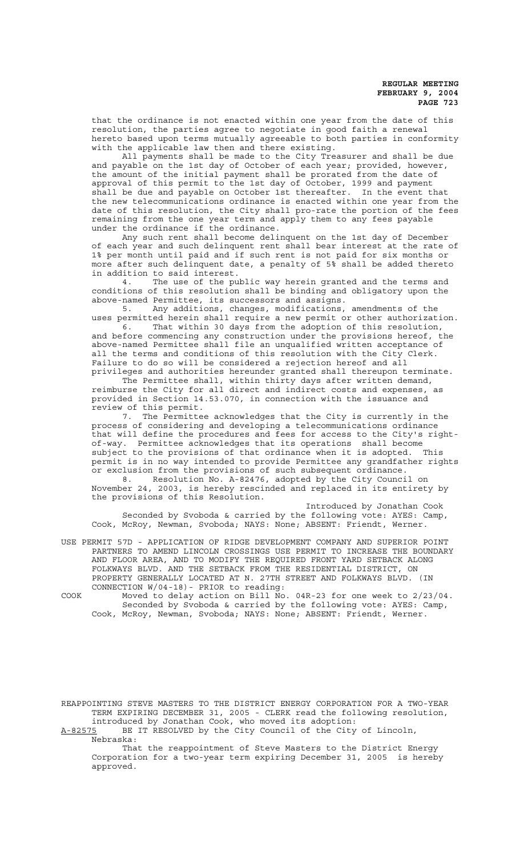that the ordinance is not enacted within one year from the date of this resolution, the parties agree to negotiate in good faith a renewal hereto based upon terms mutually agreeable to both parties in conformity with the applicable law then and there existing.

All payments shall be made to the City Treasurer and shall be due and payable on the 1st day of October of each year; provided, however, the amount of the initial payment shall be prorated from the date of approval of this permit to the 1st day of October, 1999 and payment shall be due and payable on October 1st thereafter. In the event that the new telecommunications ordinance is enacted within one year from the date of this resolution, the City shall pro-rate the portion of the fees remaining from the one year term and apply them to any fees payable under the ordinance if the ordinance.

Any such rent shall become delinquent on the 1st day of December of each year and such delinquent rent shall bear interest at the rate of 1% per month until paid and if such rent is not paid for six months or more after such delinquent date, a penalty of 5% shall be added thereto in addition to said interest.

4. The use of the public way herein granted and the terms and conditions of this resolution shall be binding and obligatory upon the above-named Permittee, its successors and assigns.

5. Any additions, changes, modifications, amendments of the uses permitted herein shall require a new permit or other authorization.

6. That within 30 days from the adoption of this resolution, and before commencing any construction under the provisions hereof, the above-named Permittee shall file an unqualified written acceptance of all the terms and conditions of this resolution with the City Clerk. Failure to do so will be considered a rejection hereof and all privileges and authorities hereunder granted shall thereupon terminate.

The Permittee shall, within thirty days after written demand, reimburse the City for all direct and indirect costs and expenses, as provided in Section 14.53.070, in connection with the issuance and review of this permit.

7. The Permittee acknowledges that the City is currently in the process of considering and developing a telecommunications ordinance that will define the procedures and fees for access to the City's rightof-way. Permittee acknowledges that its operations shall become subject to the provisions of that ordinance when it is adopted. This permit is in no way intended to provide Permittee any grandfather rights or exclusion from the provisions of such subsequent ordinance.

8. Resolution No. A-82476, adopted by the City Council on November 24, 2003, is hereby rescinded and replaced in its entirety by the provisions of this Resolution.

Introduced by Jonathan Cook Seconded by Svoboda & carried by the following vote: AYES: Camp, Cook, McRoy, Newman, Svoboda; NAYS: None; ABSENT: Friendt, Werner.

USE PERMIT 57D - APPLICATION OF RIDGE DEVELOPMENT COMPANY AND SUPERIOR POINT PARTNERS TO AMEND LINCOLN CROSSINGS USE PERMIT TO INCREASE THE BOUNDARY AND FLOOR AREA, AND TO MODIFY THE REQUIRED FRONT YARD SETBACK ALONG FOLKWAYS BLVD. AND THE SETBACK FROM THE RESIDENTIAL DISTRICT, ON PROPERTY GENERALLY LOCATED AT N. 27TH STREET AND FOLKWAYS BLVD. (IN CONNECTION W/04-18)- PRIOR to reading:

COOK Moved to delay action on Bill No. 04R-23 for one week to 2/23/04. Seconded by Svoboda & carried by the following vote: AYES: Camp, Cook, McRoy, Newman, Svoboda; NAYS: None; ABSENT: Friendt, Werner.

REAPPOINTING STEVE MASTERS TO THE DISTRICT ENERGY CORPORATION FOR A TWO-YEAR TERM EXPIRING DECEMBER 31, 2005 - CLERK read the following resolution, introduced by Jonathan Cook, who moved its adoption:<br>A-82575 BE IT RESOLVED by the City Council of the City

BE IT RESOLVED by the City Council of the City of Lincoln, Nebraska:

That the reappointment of Steve Masters to the District Energy Corporation for a two-year term expiring December 31, 2005 is hereby approved.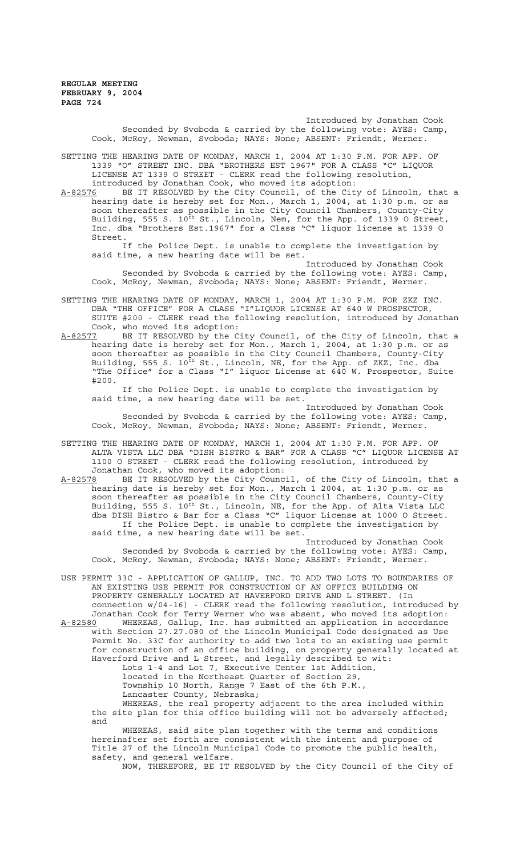Introduced by Jonathan Cook Seconded by Svoboda & carried by the following vote: AYES: Camp, Cook, McRoy, Newman, Svoboda; NAYS: None; ABSENT: Friendt, Werner.

SETTING THE HEARING DATE OF MONDAY, MARCH 1, 2004 AT 1:30 P.M. FOR APP. OF 1339 "O" STREET INC. DBA "BROTHERS EST 1967" FOR A CLASS "C" LIQUOR LICENSE AT 1339 O STREET - CLERK read the following resolution, introduced by Jonathan Cook, who moved its adoption:

A-82576 BE IT RESOLVED by the City Council, of the City of Lincoln, that a hearing date is hereby set for Mon., March 1, 2004, at 1:30 p.m. or as soon thereafter as possible in the City Council Chambers, County-City Building, 555 S. 10<sup>th</sup> St., Lincoln, Nem, for the App. of 1339 O Street, Inc. dba "Brothers Est.1967" for a Class "C" liquor license at 1339 O Street.

If the Police Dept. is unable to complete the investigation by said time, a new hearing date will be set.

Introduced by Jonathan Cook Seconded by Svoboda & carried by the following vote: AYES: Camp, Cook, McRoy, Newman, Svoboda; NAYS: None; ABSENT: Friendt, Werner.

SETTING THE HEARING DATE OF MONDAY, MARCH 1, 2004 AT 1:30 P.M. FOR ZKZ INC. DBA "THE OFFICE" FOR A CLASS "I"LIQUOR LICENSE AT 640 W PROSPECTOR, SUITE #200 - CLERK read the following resolution, introduced by Jonathan Cook, who moved its adoption:

A-82577 BE IT RESOLVED by the City Council, of the City of Lincoln, that a hearing date is hereby set for Mon., March 1, 2004, at 1:30 p.m. or as soon thereafter as possible in the City Council Chambers, County-City Building, 555 S. 10<sup>th</sup> St., Lincoln, NE, for the App. of ZKZ, Inc. dba "The Office" for a Class "I" liquor License at 640 W. Prospector, Suite #200.

If the Police Dept. is unable to complete the investigation by said time, a new hearing date will be set.

Introduced by Jonathan Cook Seconded by Svoboda & carried by the following vote: AYES: Camp, Cook, McRoy, Newman, Svoboda; NAYS: None; ABSENT: Friendt, Werner.

SETTING THE HEARING DATE OF MONDAY, MARCH 1, 2004 AT 1:30 P.M. FOR APP. OF ALTA VISTA LLC DBA "DISH BISTRO & BAR" FOR A CLASS "C" LIQUOR LICENSE AT 1100 O STREET - CLERK read the following resolution, introduced by Jonathan Cook, who moved its adoption:

A-82578 BE IT RESOLVED by the City Council, of the City of Lincoln, that a hearing date is hereby set for Mon., March 1 2004, at 1:30 p.m. or as soon thereafter as possible in the City Council Chambers, County-City Building, 555 S. 10<sup>th</sup> St., Lincoln, NE, for the App. of Alta Vista LLC dba DISH Bistro & Bar for a Class "C" liquor License at 1000 O Street. If the Police Dept. is unable to complete the investigation by said time, a new hearing date will be set.

Introduced by Jonathan Cook Seconded by Svoboda & carried by the following vote: AYES: Camp, Cook, McRoy, Newman, Svoboda; NAYS: None; ABSENT: Friendt, Werner.

USE PERMIT 33C - APPLICATION OF GALLUP, INC. TO ADD TWO LOTS TO BOUNDARIES OF AN EXISTING USE PERMIT FOR CONSTRUCTION OF AN OFFICE BUILDING ON PROPERTY GENERALLY LOCATED AT HAVERFORD DRIVE AND L STREET. (In connection w/04-16) - CLERK read the following resolution, introduced by Jonathan Cook for Terry Werner who was absent, who moved its adoption:

A-82580 WHEREAS, Gallup, Inc. has submitted an application in accordance with Section 27.27.080 of the Lincoln Municipal Code designated as Use Permit No. 33C for authority to add two lots to an existing use permit for construction of an office building, on property generally located at Haverford Drive and L Street, and legally described to wit: Lots 1-4 and Lot 7, Executive Center 1st Addition, located in the Northeast Quarter of Section 29, Township 10 North, Range 7 East of the 6th P.M.,

Lancaster County, Nebraska; WHEREAS, the real property adjacent to the area included within

the site plan for this office building will not be adversely affected; and

WHEREAS, said site plan together with the terms and conditions hereinafter set forth are consistent with the intent and purpose of Title 27 of the Lincoln Municipal Code to promote the public health, safety, and general welfare.

NOW, THEREFORE, BE IT RESOLVED by the City Council of the City of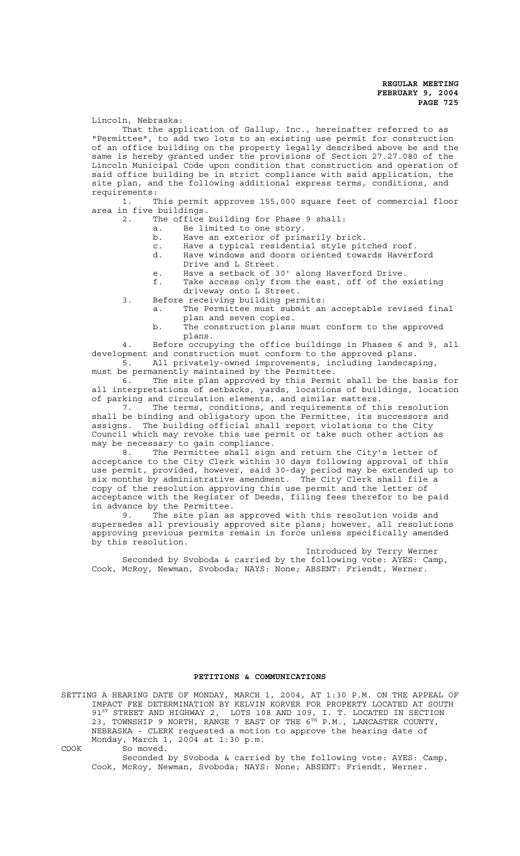Lincoln, Nebraska:

That the application of Gallup, Inc., hereinafter referred to as "Permittee", to add two lots to an existing use permit for construction of an office building on the property legally described above be and the same is hereby granted under the provisions of Section 27.27.080 of the Lincoln Municipal Code upon condition that construction and operation of said office building be in strict compliance with said application, the site plan, and the following additional express terms, conditions, and

requirements:<br>1. T This permit approves 155,000 square feet of commercial floor area in five buildings.

- 2. The office building for Phase 9 shall:
	- a. Be limited to one story.<br>b. Have an exterior of prim Have an exterior of primarily brick.
		-
	- c. Have a typical residential style pitched roof. d. Have windows and doors oriented towards Haverford Drive and L Street.
	- e. Have a setback of 30' along Haverford Drive.

f. Take access only from the east, off of the existing driveway onto L Street.

- 3. Before receiving building permits: a. The Permittee must submit an acceptable revised final
	- plan and seven copies. b. The construction plans must conform to the approved plans.

4. Before occupying the office buildings in Phases 6 and 9, all development and construction must conform to the approved plans.

5. All privately-owned improvements, including landscaping, must be permanently maintained by the Permittee.

6. The site plan approved by this Permit shall be the basis for all interpretations of setbacks, yards, locations of buildings, location of parking and circulation elements, and similar matters.

The terms, conditions, and requirements of this resolution shall be binding and obligatory upon the Permittee, its successors and assigns. The building official shall report violations to the City Council which may revoke this use permit or take such other action as may be necessary to gain compliance.

8. The Permittee shall sign and return the City's letter of acceptance to the City Clerk within 30 days following approval of this use permit, provided, however, said 30-day period may be extended up to six months by administrative amendment. The City Clerk shall file a copy of the resolution approving this use permit and the letter of acceptance with the Register of Deeds, filing fees therefor to be paid in advance by the Permittee.

9. The site plan as approved with this resolution voids and supersedes all previously approved site plans; however, all resolutions approving previous permits remain in force unless specifically amended by this resolution.

Introduced by Terry Werner Seconded by Svoboda & carried by the following vote: AYES: Camp, Cook, McRoy, Newman, Svoboda; NAYS: None; ABSENT: Friendt, Werner.

# **PETITIONS & COMMUNICATIONS**

SETTING A HEARING DATE OF MONDAY, MARCH 1, 2004, AT 1:30 P.M. ON THE APPEAL OF IMPACT FEE DETERMINATION BY KELVIN KORVER FOR PROPERTY LOCATED AT SOUTH 91<sup>ST</sup> STREET AND HIGHWAY 2, LOTS 108 AND 109, I. T. LOCATED IN SECTION 23, TOWNSHIP 9 NORTH, RANGE 7 EAST OF THE 6TH P.M., LANCASTER COUNTY, NEBRASKA - CLERK requested a motion to approve the hearing date of Monday, March 1, 2004 at 1:30 p.m.

COOK So moved.

Seconded by Svoboda & carried by the following vote: AYES: Camp, Cook, McRoy, Newman, Svoboda; NAYS: None; ABSENT: Friendt, Werner.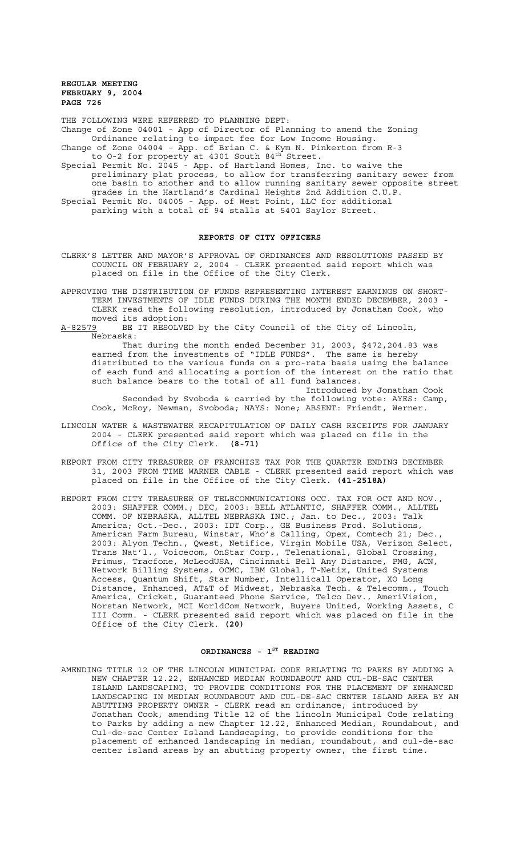THE FOLLOWING WERE REFERRED TO PLANNING DEPT: Change of Zone 04001 - App of Director of Planning to amend the Zoning Ordinance relating to impact fee for Low Income Housing. Change of Zone 04004 - App. of Brian C. & Kym N. Pinkerton from R-3

to 0-2 for property at 4301 South 84<sup>th</sup> Street.

Special Permit No. 2045 - App. of Hartland Homes, Inc. to waive the preliminary plat process, to allow for transferring sanitary sewer from one basin to another and to allow running sanitary sewer opposite street grades in the Hartland's Cardinal Heights 2nd Addition C.U.P. Special Permit No. 04005 - App. of West Point, LLC for additional parking with a total of 94 stalls at 5401 Saylor Street.

## **REPORTS OF CITY OFFICERS**

- CLERK'S LETTER AND MAYOR'S APPROVAL OF ORDINANCES AND RESOLUTIONS PASSED BY COUNCIL ON FEBRUARY 2, 2004 - CLERK presented said report which was placed on file in the Office of the City Clerk.
- APPROVING THE DISTRIBUTION OF FUNDS REPRESENTING INTEREST EARNINGS ON SHORT-TERM INVESTMENTS OF IDLE FUNDS DURING THE MONTH ENDED DECEMBER, 2003 - CLERK read the following resolution, introduced by Jonathan Cook, who moved its adoption:
- A-82579 BE IT RESOLVED by the City Council of the City of Lincoln, Nebraska:

That during the month ended December 31, 2003, \$472,204.83 was earned from the investments of "IDLE FUNDS". The same is hereby distributed to the various funds on a pro-rata basis using the balance of each fund and allocating a portion of the interest on the ratio that such balance bears to the total of all fund balances.

Introduced by Jonathan Cook Seconded by Svoboda & carried by the following vote: AYES: Camp, Cook, McRoy, Newman, Svoboda; NAYS: None; ABSENT: Friendt, Werner.

- LINCOLN WATER & WASTEWATER RECAPITULATION OF DAILY CASH RECEIPTS FOR JANUARY 2004 - CLERK presented said report which was placed on file in the Office of the City Clerk. **(8-71)**
- REPORT FROM CITY TREASURER OF FRANCHISE TAX FOR THE QUARTER ENDING DECEMBER 31, 2003 FROM TIME WARNER CABLE - CLERK presented said report which was placed on file in the Office of the City Clerk. **(41-2518A)**
- REPORT FROM CITY TREASURER OF TELECOMMUNICATIONS OCC. TAX FOR OCT AND NOV., 2003: SHAFFER COMM.; DEC, 2003: BELL ATLANTIC, SHAFFER COMM., ALLTEL COMM. OF NEBRASKA, ALLTEL NEBRASKA INC.; Jan. to Dec., 2003: Talk America; Oct.-Dec., 2003: IDT Corp., GE Business Prod. Solutions, American Farm Bureau, Winstar, Who's Calling, Opex, Comtech 21; Dec., 2003: Alyon Techn., Qwest, Netifice, Virgin Mobile USA, Verizon Select, Trans Nat'l., Voicecom, OnStar Corp., Telenational, Global Crossing, Primus, Tracfone, McLeodUSA, Cincinnati Bell Any Distance, PMG, ACN, Network Billing Systems, OCMC, IBM Global, T-Netix, United Systems Access, Quantum Shift, Star Number, Intellicall Operator, XO Long Distance, Enhanced, AT&T of Midwest, Nebraska Tech. & Telecomm., Touch America, Cricket, Guaranteed Phone Service, Telco Dev., AmeriVision, Norstan Network, MCI WorldCom Network, Buyers United, Working Assets, C III Comm. - CLERK presented said report which was placed on file in the Office of the City Clerk. **(20)**

# ORDINANCES - 1<sup>ST</sup> READING

AMENDING TITLE 12 OF THE LINCOLN MUNICIPAL CODE RELATING TO PARKS BY ADDING A NEW CHAPTER 12.22, ENHANCED MEDIAN ROUNDABOUT AND CUL-DE-SAC CENTER ISLAND LANDSCAPING, TO PROVIDE CONDITIONS FOR THE PLACEMENT OF ENHANCED LANDSCAPING IN MEDIAN ROUNDABOUT AND CUL-DE-SAC CENTER ISLAND AREA BY AN ABUTTING PROPERTY OWNER - CLERK read an ordinance, introduced by Jonathan Cook, amending Title 12 of the Lincoln Municipal Code relating to Parks by adding a new Chapter 12.22, Enhanced Median, Roundabout, and Cul-de-sac Center Island Landscaping, to provide conditions for the placement of enhanced landscaping in median, roundabout, and cul-de-sac center island areas by an abutting property owner, the first time.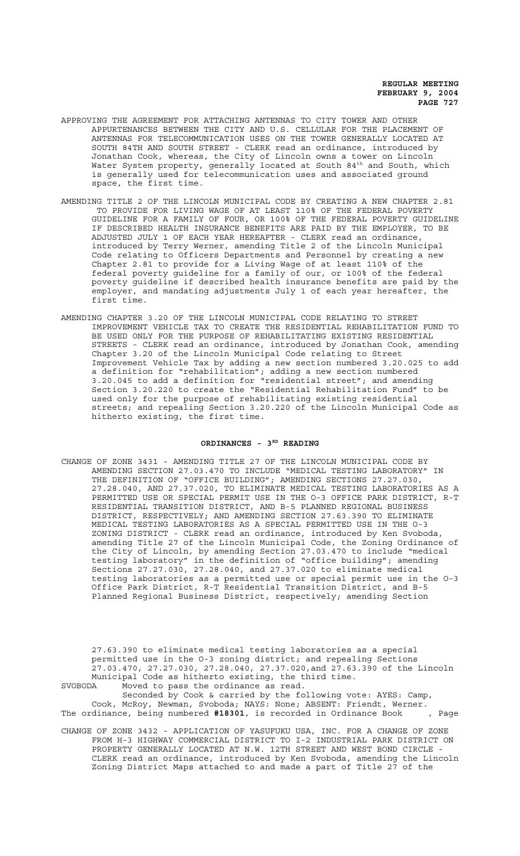- APPROVING THE AGREEMENT FOR ATTACHING ANTENNAS TO CITY TOWER AND OTHER APPURTENANCES BETWEEN THE CITY AND U.S. CELLULAR FOR THE PLACEMENT OF ANTENNAS FOR TELECOMMUNICATION USES ON THE TOWER GENERALLY LOCATED AT SOUTH 84TH AND SOUTH STREET - CLERK read an ordinance, introduced by Jonathan Cook, whereas, the City of Lincoln owns a tower on Lincoln Water System property, generally located at South 84 $^{\rm th}$  and South, which is generally used for telecommunication uses and associated ground space, the first time.
- AMENDING TITLE 2 OF THE LINCOLN MUNICIPAL CODE BY CREATING A NEW CHAPTER 2.81 TO PROVIDE FOR LIVING WAGE OF AT LEAST 110% OF THE FEDERAL POVERTY GUIDELINE FOR A FAMILY OF FOUR, OR 100% OF THE FEDERAL POVERTY GUIDELINE IF DESCRIBED HEALTH INSURANCE BENEFITS ARE PAID BY THE EMPLOYER, TO BE ADJUSTED JULY 1 OF EACH YEAR HEREAFTER - CLERK read an ordinance, introduced by Terry Werner, amending Title 2 of the Lincoln Municipal Code relating to Officers Departments and Personnel by creating a new Chapter 2.81 to provide for a Living Wage of at least 110% of the federal poverty guideline for a family of our, or 100% of the federal poverty guideline if described health insurance benefits are paid by the employer, and mandating adjustments July 1 of each year hereafter, the first time.
- AMENDING CHAPTER 3.20 OF THE LINCOLN MUNICIPAL CODE RELATING TO STREET IMPROVEMENT VEHICLE TAX TO CREATE THE RESIDENTIAL REHABILITATION FUND TO BE USED ONLY FOR THE PURPOSE OF REHABILITATING EXISTING RESIDENTIAL STREETS - CLERK read an ordinance, introduced by Jonathan Cook, amending Chapter 3.20 of the Lincoln Municipal Code relating to Street Improvement Vehicle Tax by adding a new section numbered 3.20.025 to add a definition for "rehabilitation"; adding a new section numbered 3.20.045 to add a definition for "residential street"; and amending Section 3.20.220 to create the "Residential Rehabilitation Fund" to be used only for the purpose of rehabilitating existing residential streets; and repealing Section 3.20.220 of the Lincoln Municipal Code as hitherto existing, the first time.

# ORDINANCES - 3RD READING

CHANGE OF ZONE 3431 - AMENDING TITLE 27 OF THE LINCOLN MUNICIPAL CODE BY AMENDING SECTION 27.03.470 TO INCLUDE "MEDICAL TESTING LABORATORY" IN THE DEFINITION OF "OFFICE BUILDING"; AMENDING SECTIONS 27.27.030, 27.28.040, AND 27.37.020, TO ELIMINATE MEDICAL TESTING LABORATORIES AS A PERMITTED USE OR SPECIAL PERMIT USE IN THE O-3 OFFICE PARK DISTRICT, R-T RESIDENTIAL TRANSITION DISTRICT, AND B-5 PLANNED REGIONAL BUSINESS DISTRICT, RESPECTIVELY; AND AMENDING SECTION 27.63.390 TO ELIMINATE MEDICAL TESTING LABORATORIES AS A SPECIAL PERMITTED USE IN THE O-3 ZONING DISTRICT - CLERK read an ordinance, introduced by Ken Svoboda, amending Title 27 of the Lincoln Municipal Code, the Zoning Ordinance of the City of Lincoln, by amending Section 27.03.470 to include "medical testing laboratory" in the definition of "office building"; amending Sections 27.27.030, 27.28.040, and 27.37.020 to eliminate medical testing laboratories as a permitted use or special permit use in the O-3 Office Park District, R-T Residential Transition District, and B-5 Planned Regional Business District, respectively; amending Section

27.63.390 to eliminate medical testing laboratories as a special permitted use in the O-3 zoning district; and repealing Sections 27.03.470, 27.27.030, 27.28.040, 27.37.020,and 27.63.390 of the Lincoln Municipal Code as hitherto existing, the third time. SVOBODA Moved to pass the ordinance as read.

Seconded by Cook & carried by the following vote: AYES: Camp, Cook, McRoy, Newman, Svoboda; NAYS: None; ABSENT: Friendt, Werner. The ordinance, being numbered **#18301**, is recorded in Ordinance Book , Page

CHANGE OF ZONE 3432 - APPLICATION OF YASUFUKU USA, INC. FOR A CHANGE OF ZONE FROM H-3 HIGHWAY COMMERCIAL DISTRICT TO I-2 INDUSTRIAL PARK DISTRICT ON PROPERTY GENERALLY LOCATED AT N.W. 12TH STREET AND WEST BOND CIRCLE - CLERK read an ordinance, introduced by Ken Svoboda, amending the Lincoln Zoning District Maps attached to and made a part of Title 27 of the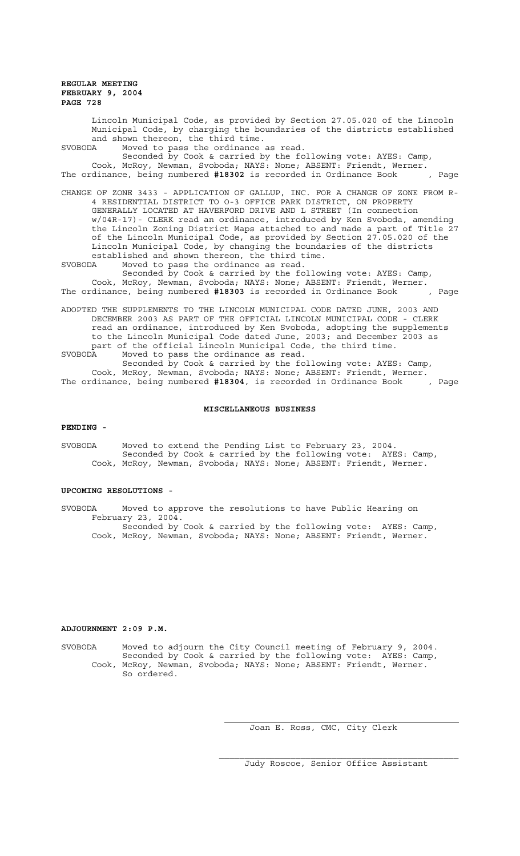Lincoln Municipal Code, as provided by Section 27.05.020 of the Lincoln Municipal Code, by charging the boundaries of the districts established and shown thereon, the third time.<br>SVOBODA Moved to pass the ordinance

Moved to pass the ordinance as read. Seconded by Cook & carried by the following vote: AYES: Camp, Cook, McRoy, Newman, Svoboda; NAYS: None; ABSENT: Friendt, Werner. The ordinance, being numbered **#18302** is recorded in Ordinance Book , Page

CHANGE OF ZONE 3433 - APPLICATION OF GALLUP, INC. FOR A CHANGE OF ZONE FROM R-4 RESIDENTIAL DISTRICT TO O-3 OFFICE PARK DISTRICT, ON PROPERTY GENERALLY LOCATED AT HAVERFORD DRIVE AND L STREET (In connection w/04R-17)- CLERK read an ordinance, introduced by Ken Svoboda, amending the Lincoln Zoning District Maps attached to and made a part of Title 27 of the Lincoln Municipal Code, as provided by Section 27.05.020 of the Lincoln Municipal Code, by changing the boundaries of the districts established and shown thereon, the third time.

SVOBODA Moved to pass the ordinance as read.

Seconded by Cook & carried by the following vote: AYES: Camp, Cook, McRoy, Newman, Svoboda; NAYS: None; ABSENT: Friendt, Werner. The ordinance, being numbered **#18303** is recorded in Ordinance Book , Page

ADOPTED THE SUPPLEMENTS TO THE LINCOLN MUNICIPAL CODE DATED JUNE, 2003 AND DECEMBER 2003 AS PART OF THE OFFICIAL LINCOLN MUNICIPAL CODE - CLERK read an ordinance, introduced by Ken Svoboda, adopting the supplements to the Lincoln Municipal Code dated June, 2003; and December 2003 as part of the official Lincoln Municipal Code, the third time.<br>SVOBODA Moved to pass the ordinance as read. SVOBODA Moved to pass the ordinance as read.

Seconded by Cook & carried by the following vote: AYES: Camp, Cook, McRoy, Newman, Svoboda; NAYS: None; ABSENT: Friendt, Werner. The ordinance, being numbered **#18304**, is recorded in Ordinance Book , Page

#### **MISCELLANEOUS BUSINESS**

#### **PENDING -**

SVOBODA Moved to extend the Pending List to February 23, 2004. Seconded by Cook & carried by the following vote: AYES: Camp, Cook, McRoy, Newman, Svoboda; NAYS: None; ABSENT: Friendt, Werner.

### **UPCOMING RESOLUTIONS -**

SVOBODA Moved to approve the resolutions to have Public Hearing on February 23, 2004. Seconded by Cook & carried by the following vote: AYES: Camp, Cook, McRoy, Newman, Svoboda; NAYS: None; ABSENT: Friendt, Werner.

#### **ADJOURNMENT 2:09 P.M.**

SVOBODA Moved to adjourn the City Council meeting of February 9, 2004. Seconded by Cook & carried by the following vote: AYES: Camp, Cook, McRoy, Newman, Svoboda; NAYS: None; ABSENT: Friendt, Werner. So ordered.

Joan E. Ross, CMC, City Clerk

Judy Roscoe, Senior Office Assistant